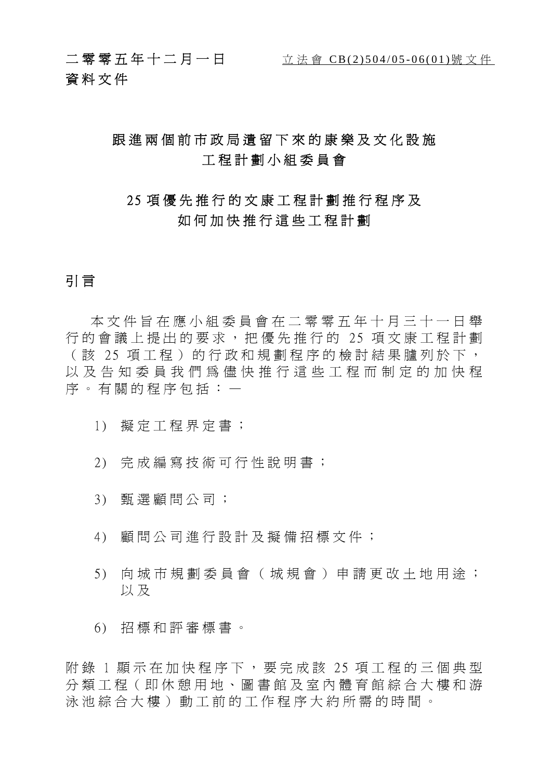二零零五年十二月一日 立法會 CB(2)504/05-06(01)號文件 資料文件

### 跟進兩個前市政局遺留下來的康樂及文化設施 工程計劃小組委員會

### 2 5 項優先推行的文康工程計劃推行程序及 如何加快推行這些工程計劃

### 引 言

本文件旨在應小組委員會在二零零五年十月三十一日舉 行的會議上提出的要求,把優先推行的 25 項文康工程計劃 (該 25 項工程)的行政和規劃程序的檢討結果臚列於下, 以及告知委員我們為儘快推行這些工程而制定的加快程 序。有關的程序包括:—

- 1) 擬定工程界定書;
- 2) 完成編寫技術可行性說明書;
- 3) 甄選顧問公司;
- 4) 顧問公司進行設計及擬備招標文件;
- 5) 向城市規劃委員會(城 規會)申請更改土地用途; 以及
- 6) 招標和評審標書。

附錄 1 顯示在加快程序下,要完成該 25 項工程的三個典型 分類工程(即休憩用地、圖 書館及室內體育館綜合大樓和游 泳池綜合大樓)動工前的工 作程序大約所需的時間。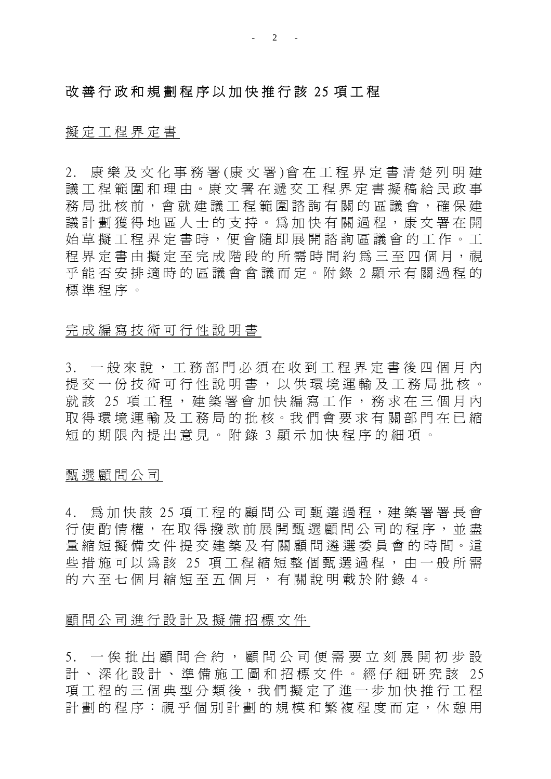### 改善行政和規劃程序以加快推行該 25 項工程

### 擬定工程界定書

2. 康樂及文化事務署 (康文署 )會在工程界定書清楚列明建 議工程範圍和理由。康文署在遞交工程界定書擬稿給民政事 務局批核前,會就建議工程範圍諮詢有關的區議會,確保建 議計劃獲得地區人士的支持。為加快有關過程,康文署在開 始草擬工程界定書時,便會隨即展開諮詢區議會的工作。工 程界定書由擬定至完成階段的所需 時間約為三至四個月,視 乎能否安排適時的區議會會議而定。附錄 2 顯示有關過程的 標準程序。

### 完成編寫技術可行性說明書

3. 一般來說,工務部門必須在收到工程界定書後四個月內 提交一份技術可行性說明書,以供環境運輸及工務局批核。 就該 25 項工程,建築署會加快編寫工作,務求在三個月內 取得環境運輸及工務局的批核。我們會要求有關部門在已縮 短的期限內提出意見。附錄 3 顯示加快程序的細項。

### 甄選顧問公司

4. 為加快該 25 項工程的顧問公司甄選過程,建築署署長會 行 使酌情權 , 在 取 得 撥 款 前展開甄選顧問公司的程序, 並 盡 量縮短擬備文件提交建築及有關顧問潾選委員會的時間。這 些 措 施 可 以 為 該 25 項 工 程 縮 短 整 個 甄 選 過 程 , 由 一 般 所 需 的六至七個月縮短至五個月,有關說明載於附錄4。

### 顧問公司進行設計及擬備招標文件

5. 一俟 批 出 顧 問 合 約, 顧 問 公 司 便 需 要 立 刻 展 開 初 步 設 計、深化設計、準備施工圖和招標文件。經仔細研究該 25 項工程的三個典型分類後,我們擬定 了 進 一 步 加快推行工程 計劃的程序:視乎個別計劃的規模和繁複程度而定,休憩用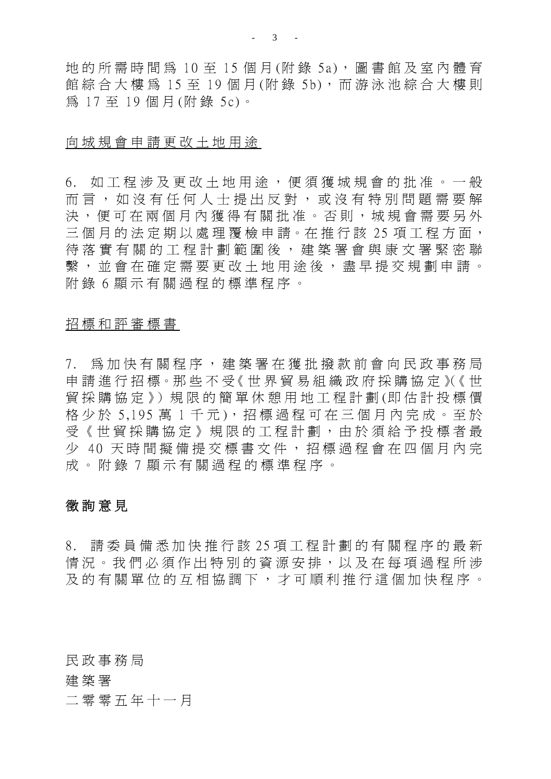地的所需時間為 10 至 15 個月(附錄 5a), 圖書館及室內體育 館綜合大樓為 15 至 19 個月(附錄 5b), 而游泳池綜合大樓則 為 17 至 19 個 月 (附 錄 5c)。

#### 向城規會申請更改土地用途

6. 如工程涉及更改土地用途,便須獲城規會的批准。一般 而言,如沒有任何人士提出反對,或沒有特別問題需要解 決, 便 可 在 兩 個 月 內 獲 得 有 關 批 准 。 否 則 , 城 規 會 需 要 另 外 三個月的法定期以處理覆檢申請。在推行該 25 項工程方面, 待落實有關的工程計劃範圍後,建築署會與康文署緊密聯 繫, 並會在確定需要更改土地用途後, 盡早提交規劃申請。 附 錄 6 顯示有關過程的標準程序。

### 招標和評審標書

7. 為加快有關程序,建築署在獲批撥款前會向民政事務局 申 請 進 行 招 標。那 些 不 受《 世 界 貿 易 組 織 政 府採購協 定 》(《 世 貿採購協 定 》)規 限 的 簡 單 休憩用地工程計劃 (即 估 計 投 標 價 格少於 5,195 萬 1 千元),招標過程可在三個月內完成。至於 受《世貿採購協定》規限的工程計劃,由於須給予投標者最 少 40 天時間擬備提交標書文件,招標過程會在四個月內完 成。附錄 7 顯示有關過程的標準程序。

### 徵 詢 意 見

8. 請委員備悉加快推行該 25 項工程計劃的有關程序的最新 情況 。我們 必須作出特別的 資源安排,以及 在每項過程所涉 及的有關 單 位 的 互相協調 下 , 才 可 順 利 推行這個加快程序。

民政事務局

#### 建 築 署

二零零五年十一月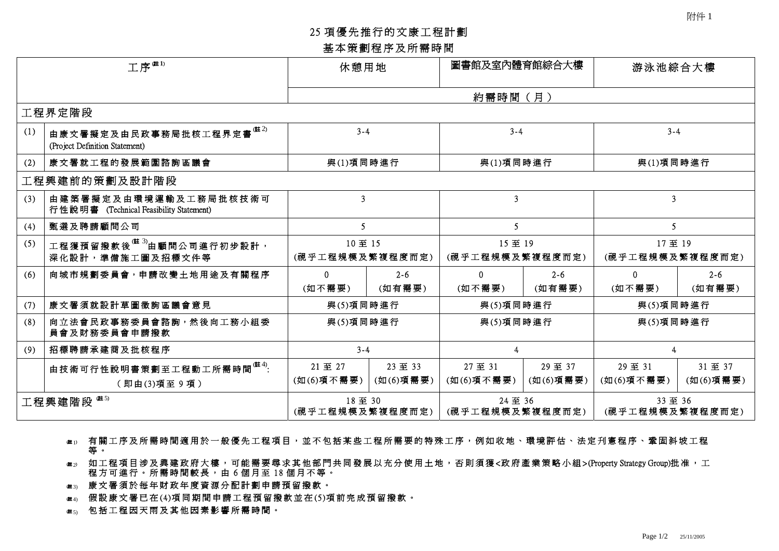### <sup>25</sup> 項優先推行的文康工程計劃 基本策劃程序及所需時間

|     |                                                                                   |                           | 基本策劃程序及所需時間          |                            |                      |                            |                     |
|-----|-----------------------------------------------------------------------------------|---------------------------|----------------------|----------------------------|----------------------|----------------------------|---------------------|
|     | 工序 <sup>唯1)</sup>                                                                 | 休憩用地                      |                      | 圖書館及室內體育館綜合大樓              |                      | 游泳池綜合大樓                    |                     |
|     |                                                                                   |                           |                      | 約需時間(月)                    |                      |                            |                     |
|     | 工程界定階段                                                                            |                           |                      |                            |                      |                            |                     |
| (1) | 由康文署擬定及由民政事務局批核工程界定書 $^{\text{\textup{(\#2)}}}$<br>(Project Definition Statement) | $3 - 4$                   |                      | $3 - 4$                    |                      | $3 - 4$                    |                     |
| (2) | 康文署就工程的發展範圍諮詢區議會                                                                  | 與(1)項同時進行                 |                      | 與(1)項同時進行                  |                      | 與(1)項同時進行                  |                     |
|     | 工程興建前的策劃及設計階段                                                                     |                           |                      |                            |                      |                            |                     |
| (3) | 由建築署擬定及由環境運輸及工務局批核技術可<br>行性說明書 (Technical Feasibility Statement)                  | 3                         |                      | $\overline{3}$             |                      | 3 <sup>1</sup>             |                     |
| (4) | 甄選及聘請顧問公司                                                                         | 5                         |                      | 5                          |                      | 5 <sup>1</sup>             |                     |
| (5) | 工程獲預留撥款後 <sup>(註 3)</sup> 由顧問公司進行初步設計,<br>深化設計,準備施工圖及招標文件等                        | 10至15<br>(視乎工程規模及繁複程度而定)  |                      | 15至 19<br>(視乎工程規模及繁複程度而定)  |                      | 17至 19<br>(視乎工程規模及繁複程度而定)  |                     |
| (6) | 向城市規劃委員會,申請改變土地用途及有關程序                                                            | $\mathbf{0}$<br>(如不需要)    | $2 - 6$<br>(如有需要)    | $\mathbf{0}$<br>(如不需要)     | $2 - 6$<br>(如有需要)    | $\mathbf{0}$<br>(如不需要)     | $2 - 6$<br>(如有需要)   |
| (7) | 康文署須就設計草圖徵詢區議會意見                                                                  | 與(5)項同時進行                 |                      | 與(5)項同時進行                  |                      | 與(5)項同時進行                  |                     |
| (8) | 向立法會民政事務委員會諮詢,然後向工務小組委<br>員會及財務委員會申請撥款                                            | 與(5)項同時進行                 |                      | 與(5)項同時進行                  |                      | 與(5)項同時進行                  |                     |
| (9) | 招標聘請承建商及批核程序                                                                      | $3 - 4$                   |                      | 4                          |                      | $\overline{4}$             |                     |
|     | 由技術可行性說明書策劃至工程動工所需時間 <sup>(註4)</sup> :<br>(即由(3)項至9項)                             | 21至 27<br>(如(6)項不需要)      | 23 至 33<br>(如(6)項需要) | 27至 31<br>(如(6)項不需要)       | 29 至 37<br>(如(6)項需要) | 29至31<br>(如(6)項不需要)        | 31至 37<br>(如(6)項需要) |
|     | 工程興建階段 (#5)                                                                       | 18至 30<br>(視乎工程規模及繁複程度而定) |                      | 24 至 36<br>(視乎工程規模及繁複程度而定) |                      | 33 至 36<br>(視乎工程規模及繁複程度而定) |                     |

- (<sup>註</sup> <sup>1</sup>) 有關工序及所需時間適用於一般優先工程項目,並不包括某些工程所需要的特殊工序,例如收地、環境評估、法定刋憲程序、鞏固斜坡工程 <sup>等</sup> 。
- <sub>唯》</sub> 如工程項目涉及興建政府大樓,可能需要尋求其他部門共同發展以充分使用土地,否則須獲<政府產業策略小組>(Property Strategy Group)批准,工<br> 程方可進行。所需時間較長,由 6 個月至 18 個月不等。<br><sub>● # 3</sub> 康文署須於每年財政年度資源分配計劃申請預留撥款。 程方可進行。所需時間較長,由6個月至18個月不等。
- 
- <sub>唯3)</sub> 康文署須於每年財政年度資源分配計劃申請預留撥款。<br><sub>唯4)</sub> 假設康文署已在(4)項同期間申請工程預留撥款並在(5)項前完成預留撥款。  $\begin{array}{ll} \frac{1}{2} & \frac{1}{2} \ \frac{1}{2} & \frac{1}{2} \ \frac{1}{2} & \frac{1}{2} \ \frac{1}{2} & \frac{1}{2} \ \frac{1}{2} & \frac{1}{2} \ \frac{1}{2} & \frac{1}{2} \ \frac{1}{2} & \frac{1}{2} \ \frac{1}{2} & \frac{1}{2} \ \frac{1}{2} & \frac{1}{2} & \frac{1}{2} \ \frac{1}{2} & \frac{1}{2} & \frac{1}{2} \ \frac{1}{2} & \frac{1}{2} & \frac{1}{2} \ \frac{1}{2} & \frac{1}{$
-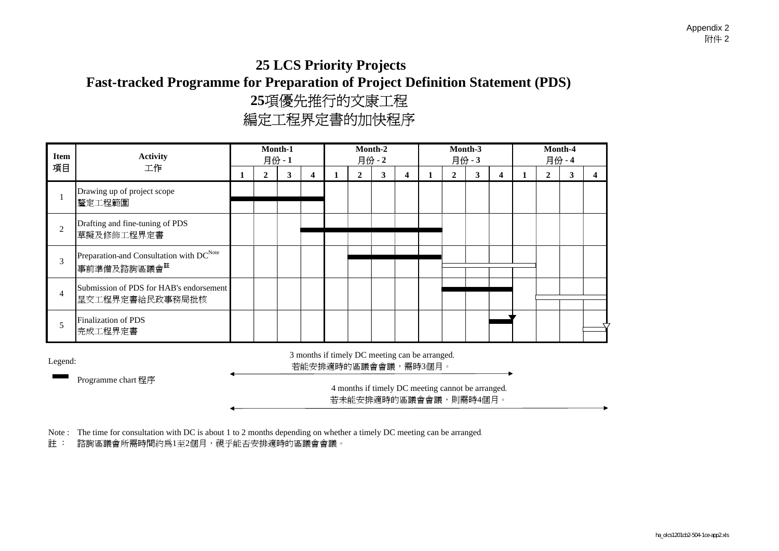### **25 LCS Priority Projects Fast-tracked Programme for Preparation of Project Definition Statement (PDS) 25 Des Frient, Frejeers**<br>for Preparation of Project Definition<br>25項優先推行的文康工程<br>編定工程界定書的加快程序

| <b>Item</b>    | <b>Activity</b>                                                                 |   |              | Month-1<br>月份-1 |                                                                       |   |              | Month-2<br>月份-2 |                         |              | Month-3<br>月份-3                                                            |                         |   |              | Month-4<br>月份-4 |   |
|----------------|---------------------------------------------------------------------------------|---|--------------|-----------------|-----------------------------------------------------------------------|---|--------------|-----------------|-------------------------|--------------|----------------------------------------------------------------------------|-------------------------|---|--------------|-----------------|---|
| 項目             | 工作                                                                              | 1 | $\mathbf{2}$ | 3               | $\overline{\mathbf{4}}$                                               | 1 | $\mathbf{2}$ | 3               | $\overline{\mathbf{4}}$ | $\mathbf{2}$ | 3                                                                          | $\overline{\mathbf{4}}$ | 1 | $\mathbf{2}$ | 3               | 4 |
|                | Drawing up of project scope<br>釐定工程範圍                                           |   |              |                 |                                                                       |   |              |                 |                         |              |                                                                            |                         |   |              |                 |   |
| $\overline{c}$ | Drafting and fine-tuning of PDS<br>草擬及修飾工程界定書                                   |   |              |                 |                                                                       |   |              |                 |                         |              |                                                                            |                         |   |              |                 |   |
| 3              | Preparation and Consultation with DC <sup>Note</sup><br>事前準備及諮詢區議會 <sup>註</sup> |   |              |                 |                                                                       |   |              |                 |                         |              |                                                                            |                         |   |              |                 |   |
| $\overline{4}$ | Submission of PDS for HAB's endorsement<br>呈交工程界定書給民政事務局批核                      |   |              |                 |                                                                       |   |              |                 |                         |              |                                                                            |                         |   |              |                 |   |
| 5              | <b>Finalization of PDS</b><br>完成工程界定書                                           |   |              |                 |                                                                       |   |              |                 |                         |              |                                                                            |                         |   |              |                 |   |
| Legend:        |                                                                                 |   |              |                 | 3 months if timely DC meeting can be arranged.<br>若能安排適時的區議會會議,需時3個月。 |   |              |                 |                         |              |                                                                            |                         |   |              |                 |   |
|                | Programme chart 程序                                                              |   |              |                 |                                                                       |   |              |                 |                         |              | 4 months if timely DC meeting cannot be arranged.<br>若未能安排適時的區議會會議,則需時4個月。 |                         |   |              |                 |   |

Note : The time for consultation with DC is about 1 to 2 months depending on whether a timely DC meeting can be arranged.<br>註 : 諮詢區議會所需時間約爲1至2個月,視乎能否安排適時的區議會會議。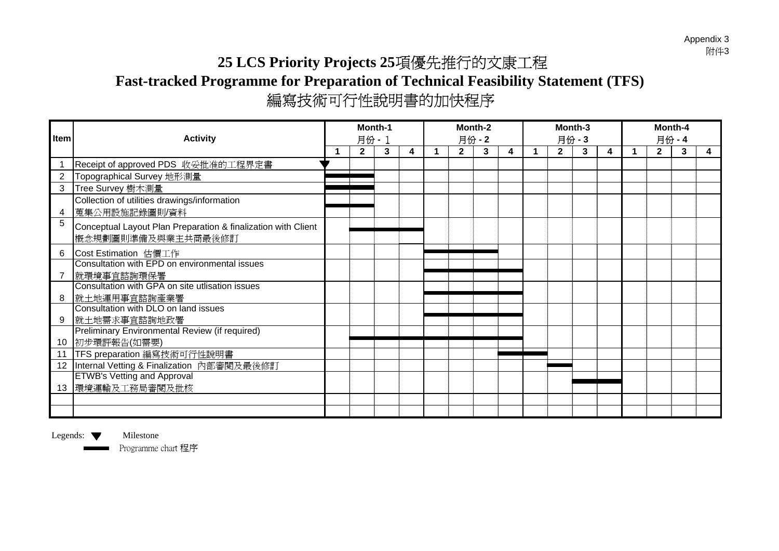Appendix 3<br>附件3

# **25 LCS Priority Projects 25**項優先推行的文康工程 **Fast-tracked Programme for Preparation of Technical Feasibility Statement (TFS)** 編寫技術可行性說明書的加快程序

|                |                                                               | Month-1<br>月份 - 1<br>$2^{\circ}$<br>$\mathbf{2}$<br>3<br>4 |  |  | Month-2 |      |   | Month-3        |      |   | Month-4     |      |   |
|----------------|---------------------------------------------------------------|------------------------------------------------------------|--|--|---------|------|---|----------------|------|---|-------------|------|---|
| Item           | <b>Activity</b>                                               |                                                            |  |  |         | 月份-2 |   |                | 月份-3 |   |             | 月份-4 |   |
|                |                                                               |                                                            |  |  |         | 3    | 4 | 2 <sup>1</sup> | 3    | 4 | $2^{\circ}$ | 3    | 4 |
|                | Receipt of approved PDS 收妥批准的工程界定書                            |                                                            |  |  |         |      |   |                |      |   |             |      |   |
| $\overline{2}$ | Topographical Survey 地形測量                                     |                                                            |  |  |         |      |   |                |      |   |             |      |   |
| 3              | Tree Survey 樹木測量                                              |                                                            |  |  |         |      |   |                |      |   |             |      |   |
|                | Collection of utilities drawings/information                  |                                                            |  |  |         |      |   |                |      |   |             |      |   |
| 4              | 蒐集公用設施記錄圖則/資料                                                 |                                                            |  |  |         |      |   |                |      |   |             |      |   |
| 5              | Conceptual Layout Plan Preparation & finalization with Client |                                                            |  |  |         |      |   |                |      |   |             |      |   |
|                | 概念規劃圖則準備及與業主共商最後修訂                                            |                                                            |  |  |         |      |   |                |      |   |             |      |   |
| 6              | Cost Estimation 估價工作                                          |                                                            |  |  |         |      |   |                |      |   |             |      |   |
|                | Consultation with EPD on environmental issues                 |                                                            |  |  |         |      |   |                |      |   |             |      |   |
|                | 就環境事宜諮詢環保署                                                    |                                                            |  |  |         |      |   |                |      |   |             |      |   |
|                | Consultation with GPA on site utlisation issues               |                                                            |  |  |         |      |   |                |      |   |             |      |   |
| 8              | 就土地運用事宜諮詢產業署                                                  |                                                            |  |  |         |      |   |                |      |   |             |      |   |
|                | Consultation with DLO on land issues                          |                                                            |  |  |         |      |   |                |      |   |             |      |   |
| 9              | 就土地需求事宜諮詢地政署                                                  |                                                            |  |  |         |      |   |                |      |   |             |      |   |
|                | Preliminary Environmental Review (if required)                |                                                            |  |  |         |      |   |                |      |   |             |      |   |
|                | 10 初步環評報告(如需要)                                                |                                                            |  |  |         |      |   |                |      |   |             |      |   |
|                | 11   TFS preparation 編寫技術可行性說明書                               |                                                            |  |  |         |      |   |                |      |   |             |      |   |
|                | 12 Internal Vetting & Finalization 內部審閱及最後修訂                  |                                                            |  |  |         |      |   |                |      |   |             |      |   |
|                | <b>ETWB's Vetting and Approval</b>                            |                                                            |  |  |         |      |   |                |      |   |             |      |   |
|                | 13 環境運輸及工務局審閲及批核                                              |                                                            |  |  |         |      |   |                |      |   |             |      |   |
|                |                                                               |                                                            |  |  |         |      |   |                |      |   |             |      |   |
|                |                                                               |                                                            |  |  |         |      |   |                |      |   |             |      |   |

Legends:  $\blacktriangledown$  Milestone

Programme chart 程序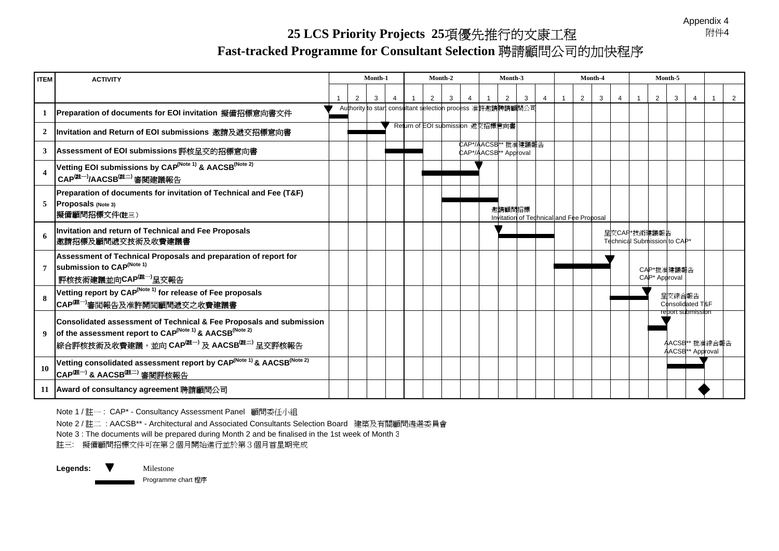Appendix 4<br>附件4

### **25 LCS Priority Projects 25**項優先推行的文康工程 **Fast-tracked Programme for Consultant Selection** 聘請顧問公司的加快程序

| <b>ITEM</b> | <b>ACTIVITY</b>                                                                                                                                                                                                                           |  | Month-1 |  | Month-2                                                    |                                              | Month-3                                            |   |                |                | Month-4 |                |                                              | Month-5 |                                                                     |  |
|-------------|-------------------------------------------------------------------------------------------------------------------------------------------------------------------------------------------------------------------------------------------|--|---------|--|------------------------------------------------------------|----------------------------------------------|----------------------------------------------------|---|----------------|----------------|---------|----------------|----------------------------------------------|---------|---------------------------------------------------------------------|--|
|             |                                                                                                                                                                                                                                           |  | 3       |  |                                                            |                                              | $\overline{2}$                                     | 3 | $\overline{4}$ | $\overline{2}$ | 3       | $\overline{4}$ | $\overline{2}$                               | 3       | 4                                                                   |  |
|             | Preparation of documents for EOI invitation 擬備招標意向書文件                                                                                                                                                                                     |  |         |  | Authority to start consultant selection process 准許邀請聘請顧問公司 |                                              |                                                    |   |                |                |         |                |                                              |         |                                                                     |  |
|             | Invitation and Return of EOI submissions 邀請及遞交招標意向書                                                                                                                                                                                       |  |         |  | Return of EOI submission 遞交招標意向書                           |                                              |                                                    |   |                |                |         |                |                                              |         |                                                                     |  |
|             | Assessment of EOI submissions 評核呈交的招標意向書                                                                                                                                                                                                  |  |         |  |                                                            | CAP*/AACSB** 批准建議報告<br>CAP*/AACSB** Approval |                                                    |   |                |                |         |                |                                              |         |                                                                     |  |
|             | Vetting EOI submissions by CAP <sup>(Note 1)</sup> & AACSB <sup>(Note 2)</sup><br>CAP <sup>(註一)</sup> /AACSB <sup>(註二)</sup> 審閲建議報告                                                                                                       |  |         |  |                                                            |                                              |                                                    |   |                |                |         |                |                                              |         |                                                                     |  |
| 5           | <b>Preparation of documents for invitation of Technical and Fee (T&amp;F)</b><br>Proposals (Note 3)<br> 擬備顧問招標文件(註三)                                                                                                                      |  |         |  |                                                            |                                              | 邀請顧問招標<br>Invitation of Technical and Fee Proposal |   |                |                |         |                |                                              |         |                                                                     |  |
| 6           | Invitation and return of Technical and Fee Proposals<br>邀請招標及顧問遞交技術及收費建議書                                                                                                                                                                 |  |         |  |                                                            |                                              |                                                    |   |                |                |         |                | 呈交CAP*技術建議報告<br>Technical Submission to CAP* |         |                                                                     |  |
|             | Assessment of Technical Proposals and preparation of report for<br>submission to CAP <sup>(Note 1)</sup><br>「評核技術建議並向CAP <sup>(註一)</sup> 呈交報告                                                                                             |  |         |  |                                                            |                                              |                                                    |   |                |                |         |                | CAP*批准建議報告<br>CAP* Approval                  |         |                                                                     |  |
| 8           | Vetting report by CAP <sup>(Note 1)</sup> for release of Fee proposals<br>CAP <sup>(註一)</sup> 審閲報告及准許開閲顧問遞交之收費建議書                                                                                                                         |  |         |  |                                                            |                                              |                                                    |   |                |                |         |                |                                              | 呈交綜合報告  | Consolidated T&F                                                    |  |
|             | <b>Consolidated assessment of Technical &amp; Fee Proposals and submission</b><br>9 of the assessment report to CAP <sup>(Note 1)</sup> & AACSB <sup>(Note 2)</sup><br> 綜合評核技術及收費建議,並向 CAP <sup>(註一)</sup> 及 AACSB <sup>(註二)</sup> 呈交評核報告 |  |         |  |                                                            |                                              |                                                    |   |                |                |         |                |                                              |         | report submission<br>AACSB** 批准綜合報告<br>AACSB <sup>**</sup> Approval |  |
| 10          | Vetting consolidated assessment report by CAP <sup>(Note 1)</sup> & AACSB <sup>(Note 2)</sup><br>CAP <sup>(註一)</sup> & AACSB <sup>(註二)</sup> 審閲評核報告                                                                                       |  |         |  |                                                            |                                              |                                                    |   |                |                |         |                |                                              |         |                                                                     |  |
|             | 11 Award of consultancy agreement 聘請顧問公司                                                                                                                                                                                                  |  |         |  |                                                            |                                              |                                                    |   |                |                |         |                |                                              |         |                                                                     |  |

Note 1 / 註一 : CAP\* - Consultancy Assessment Panel 顧問委任小組

Note 2 / 註二 : AACSB\*\* - Architectural and Associated Consultants Selection Board 建築及有關顧問遴選委員會

Note 3 : The documents will be prepared during Month 2 and be finalised in the 1st week of Month 3 註三: 擬備顧問招標文件可在第2個月開始進行並於第3個月首星期完成

Legends: **V** Milestone

Programme chart 程序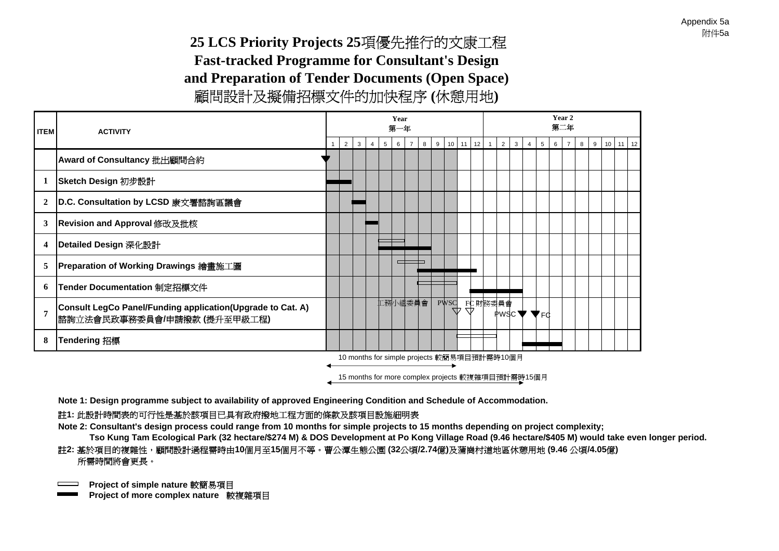**25 LCS Priority Projects 25**項優先推行的文康工程 **Fast-trackedFast-tracked Programme for Consultant's Design and Preparation of Tender Documents (Open Space)** 顧問設計及擬備招標文件的加快程序 **(**休憩用地**)**

| <b>ITEM</b>    | <b>ACTIVITY</b>                                                                          |   |   |                |   | Year<br>第一年 |         |   |             |    |          |                                             |                                                   |                |   |   | Year 2<br>第二年  |  |                        |  |
|----------------|------------------------------------------------------------------------------------------|---|---|----------------|---|-------------|---------|---|-------------|----|----------|---------------------------------------------|---------------------------------------------------|----------------|---|---|----------------|--|------------------------|--|
|                |                                                                                          | 2 | 3 | $\overline{4}$ | 5 | 6           |         | 8 | 9           |    | 10 11 12 | 2<br>$\overline{1}$                         | $\mathbf{3}$                                      | $\overline{4}$ | 5 | 6 | $\overline{7}$ |  | $8$   9   10   11   12 |  |
|                | Award of Consultancy 批出顧問合約                                                              |   |   |                |   |             |         |   |             |    |          |                                             |                                                   |                |   |   |                |  |                        |  |
| 1              | Sketch Design 初步設計                                                                       |   |   |                |   |             |         |   |             |    |          |                                             |                                                   |                |   |   |                |  |                        |  |
| $\overline{2}$ | D.C. Consultation by LCSD 康文署諮詢區議會                                                       |   |   |                |   |             |         |   |             |    |          |                                             |                                                   |                |   |   |                |  |                        |  |
| 3              | Revision and Approval 修改及批核                                                              |   |   |                |   |             |         |   |             |    |          |                                             |                                                   |                |   |   |                |  |                        |  |
| 4              | Detailed Design 深化設計                                                                     |   |   |                |   |             |         |   |             |    |          |                                             |                                                   |                |   |   |                |  |                        |  |
| 5              | Preparation of Working Drawings 繪畫施工圖                                                    |   |   |                |   |             |         |   |             |    |          |                                             |                                                   |                |   |   |                |  |                        |  |
| 6              | Tender Documentation 制定招標文件                                                              |   |   |                |   |             |         |   |             |    |          |                                             |                                                   |                |   |   |                |  |                        |  |
| $\overline{7}$ | Consult LegCo Panel/Funding application(Upgrade to Cat. A)<br>諮詢立法會民政事務委員會/申請撥款(提升至甲級工程) |   |   |                |   |             | 工務小組委員會 |   | <b>PWSC</b> | 77 |          | FC財務委員會                                     | $PWSC \blacktriangledown \blacktriangledown_{FG}$ |                |   |   |                |  |                        |  |
| 8              | <b>Tendering 招標</b>                                                                      |   |   |                |   |             |         |   |             |    |          |                                             |                                                   |                |   |   |                |  |                        |  |
|                |                                                                                          |   |   |                |   |             |         |   |             |    |          | 10 months for simple projects 較簡易項目預計需時10個月 |                                                   |                |   |   |                |  |                        |  |

15 months for more complex projects 較複雜項目預計需時15個月

**Note 1: Design programme subject to availability of approved Engineering Condition and Schedule of Accommodation.** 

### 註**1:** 此設計時間表的可行性是基於該項目已具有政府撥地工程方面的條款及該項目設施細明表

**Note 2: Consultant's design process could range from 10 months for simple projects to 15 months depending on project complexity;** 

### **Tso Kung Tam Ecological Park (32 hectare/\$274 M) & DOS Development at Po Kong Village Road (9.46 hectare/\$405 M) would take even longer period.** 億**)**及蒲崗村道地區休憩用地 **(9.46** 公頃**/4.05** <sup>億</sup>**)** 所需時間將會更長。 註2: 基於項目的複雜性,顧問設計過程需時由10個月至15個月不等。曹公潭生態公園 (32公頃/2.74億)及蒲崗村道地區休憩用地 (9.46 公頃/4.05億)<br>所需時間將會更長。

**Project of simple nature 較簡易項目** 

**ple nature** 較簡易項目 **Project of more com plex nature** 較複雜項目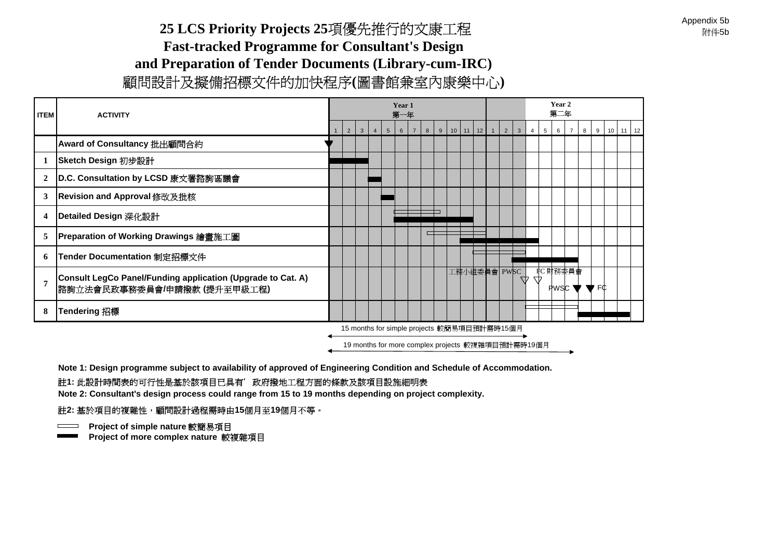### Appendix 5b<br>附件5b

### **25 LCS Priority Projects 25**項優先推行的文康工程 **Fast-tracked Programme for Consultant's Design and Preparation of Tender Documents (Library-cum-IRC)** 顧問設計及擬備招標文件的加快程序**(**圖書館兼室內康樂中心**)**

| <b>ITEM</b>    | <b>ACTIVITY</b>                                                                             |                                             |             |                                                   |                |                 | Year 1<br>第一年 |  |   |   |  |         |              |  |   |              |                |   | Year 2<br>第二年 |          |   |                                                   |              |  |
|----------------|---------------------------------------------------------------------------------------------|---------------------------------------------|-------------|---------------------------------------------------|----------------|-----------------|---------------|--|---|---|--|---------|--------------|--|---|--------------|----------------|---|---------------|----------|---|---------------------------------------------------|--------------|--|
|                |                                                                                             |                                             | $2^{\circ}$ | $\mathbf{3}$                                      | $\overline{4}$ | $5\overline{5}$ | 6             |  | 8 | 9 |  | $10$ 11 | 12           |  | 2 | $\mathbf{3}$ | $\overline{4}$ | 5 | 6             |          | 8 |                                                   | $9$ 10 11 12 |  |
|                | Award of Consultancy 批出顧問合約                                                                 |                                             |             |                                                   |                |                 |               |  |   |   |  |         |              |  |   |              |                |   |               |          |   |                                                   |              |  |
| 1              | Sketch Design 初步設計                                                                          |                                             |             |                                                   |                |                 |               |  |   |   |  |         |              |  |   |              |                |   |               |          |   |                                                   |              |  |
| $\mathbf{2}$   | D.C. Consultation by LCSD 康文署諮詢區議會                                                          |                                             |             |                                                   |                |                 |               |  |   |   |  |         |              |  |   |              |                |   |               |          |   |                                                   |              |  |
| 3              | Revision and Approval 修改及批核                                                                 |                                             |             |                                                   |                |                 |               |  |   |   |  |         |              |  |   |              |                |   |               |          |   |                                                   |              |  |
| 4              | Detailed Design 深化設計                                                                        |                                             |             |                                                   |                |                 |               |  |   |   |  |         |              |  |   |              |                |   |               |          |   |                                                   |              |  |
| 5              | Preparation of Working Drawings 繪畫施工圖                                                       |                                             |             |                                                   |                |                 |               |  |   |   |  |         |              |  |   |              |                |   |               |          |   |                                                   |              |  |
| 6              | Tender Documentation 制定招標文件                                                                 |                                             |             |                                                   |                |                 |               |  |   |   |  |         |              |  |   |              |                |   |               |          |   |                                                   |              |  |
| $\overline{7}$ | Consult LegCo Panel/Funding application (Upgrade to Cat. A)<br> 諮詢立法會民政事務委員會/申請撥款 (提升至甲級工程) |                                             |             |                                                   |                |                 |               |  |   |   |  |         | 工務小組委員會 PWSC |  |   | W            | W              |   |               | FC 財務委員會 |   | PWSC $\blacktriangledown$ $\blacktriangledown$ FC |              |  |
| 8              | Tendering 招標                                                                                |                                             |             |                                                   |                |                 |               |  |   |   |  |         |              |  |   |              |                |   |               |          |   |                                                   |              |  |
|                |                                                                                             | 15 months for simple projects 較簡易項目預計需時15個月 |             |                                                   |                |                 |               |  |   |   |  |         |              |  |   |              |                |   |               |          |   |                                                   |              |  |
|                |                                                                                             |                                             |             | 19 months for more complex projects 較複雜項目預計需時19個月 |                |                 |               |  |   |   |  |         |              |  |   |              |                |   |               |          |   |                                                   |              |  |

**Note 1: Design programme subject to availability of approved of Engineering Condition and Schedule of Accommodation.** 

### 註**1:** 此設計時間表的可行性是基於該項目已具有'政府撥地工程方面的條款及該項目設施細明表

**Note 2: Consultant's design process could range from 15 to 19 months depending on project complexity.** 

#### 註**2:** 基於項目的複雜性,顧問設計過程需時由**15**個月至**19**個月不等。

**Project of simple nature 較簡易項目** 

塞於頃日的<sub>傑雅</sub>性 <sup>,</sup>麒同設訂週怪靑时田13個月王19||<br>| <mark>Project of simple nature 較簡易項目</mark><br>| <mark>Project of more complex nature 較複雜項目</mark>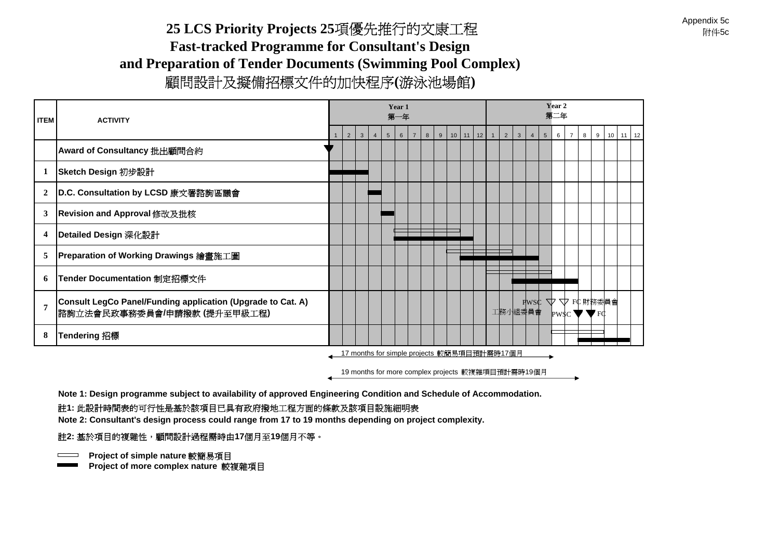### **25 LCS Priority Projects 25**項優先推行的文康工程 **Fast-tracked Programme for Consultant's Design and Preparation of Tender Documents (Swimming Pool Complex)** 顧問設計及擬備招標文件的加快程序**(**游泳池場館**)**

| <b>ITEM</b>      | <b>ACTIVITY</b>                                                                            |                |              |                |                 | Year 1<br>第一年 |                |   |   |         |    |                                             |                |                | Year 2<br>第二年 |                |   |                                                                    |              |
|------------------|--------------------------------------------------------------------------------------------|----------------|--------------|----------------|-----------------|---------------|----------------|---|---|---------|----|---------------------------------------------|----------------|----------------|---------------|----------------|---|--------------------------------------------------------------------|--------------|
|                  |                                                                                            | $\overline{2}$ | $\mathbf{3}$ | $\overline{4}$ | $5\overline{5}$ | 6             | $\overline{7}$ | 8 | 9 | $10$ 11 | 12 | $\overline{2}$<br>$\mathbf{3}$              | $\overline{4}$ | 5 <sup>5</sup> | 6             | $\overline{7}$ | 8 |                                                                    | $9$ 10 11 12 |
|                  | Award of Consultancy 批出顧問合約                                                                |                |              |                |                 |               |                |   |   |         |    |                                             |                |                |               |                |   |                                                                    |              |
|                  | Sketch Design 初步設計                                                                         |                |              |                |                 |               |                |   |   |         |    |                                             |                |                |               |                |   |                                                                    |              |
| 2                | D.C. Consultation by LCSD 康文署諮詢區議會                                                         |                |              |                |                 |               |                |   |   |         |    |                                             |                |                |               |                |   |                                                                    |              |
| 3                | Revision and Approval 修改及批核                                                                |                |              |                |                 |               |                |   |   |         |    |                                             |                |                |               |                |   |                                                                    |              |
| $\boldsymbol{4}$ | Detailed Design 深化設計                                                                       |                |              |                |                 |               |                |   |   |         |    |                                             |                |                |               |                |   |                                                                    |              |
| 5                | Preparation of Working Drawings 繪畫施工圖                                                      |                |              |                |                 |               |                |   |   |         |    |                                             |                |                |               |                |   |                                                                    |              |
| 6                | Tender Documentation 制定招標文件                                                                |                |              |                |                 |               |                |   |   |         |    |                                             |                |                |               |                |   |                                                                    |              |
|                  | Consult LegCo Panel/Funding application (Upgrade to Cat. A)<br>諮詢立法會民政事務委員會/申請撥款 (提升至甲級工程) |                |              |                |                 |               |                |   |   |         |    | 工務小組委員會                                     |                |                |               |                |   | $P$ PWSC $\nabla \nabla$ FC 財務委員會<br>$PWSC \blacktriangleright FC$ |              |
| 8                | Tendering 招標                                                                               |                |              |                |                 |               |                |   |   |         |    |                                             |                |                |               |                |   |                                                                    |              |
|                  |                                                                                            |                |              |                |                 |               |                |   |   |         |    | 17 months for simple projects 較簡易項目預計需時17個月 |                |                |               |                |   |                                                                    |              |

19 months for more complex projects 較複雜項目預計需時19個月

**Note 1: Design programme subject to availability of approved Engineering Condition and Schedule of Accommodation.**  註**1:** 此設計時間表的可行性是基於該項目已具有政府撥地工程方面的條款及該項目設施細明表

Note 2: Consultant's design process could range from 17 to 19 months depending on project complexity.

#### 註**2:** 基於項目的複雜性,顧問設計過程需時由**17**個月至**19**個月不等。

**Example nature 較簡易項目** 

 $\equiv$ 

ess, Adaptes<br>
ple project of simple nature 較簡易項目<br>
<mark>Project of more complex nature 較複雜項目</mark>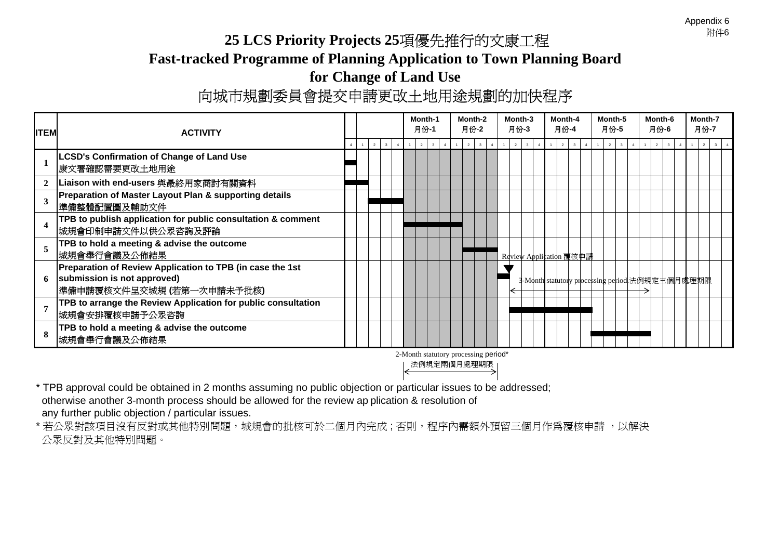Appendix 6<br>附件6

# **25 LCS Priority Projects 25**項優先推行的文康工程 **Fast-tracked Programme of Planning Application to Town Planning Board for Change of Land Use**<br>向城市規劃委員會提交申請更改土地用途規劃的加快程序

| <b>ITEM</b>  | <b>ACTIVITY</b>                                                                                                        |   |                         |  | Month-1<br>月份-1                |                | Month-2<br>月份-2                                     | Month-3<br>月份-3 |                         | Month-4<br>月份-4 |  | Month-5<br>月份-5 |  | Month-6<br>月份-6 |  | Month-7<br>月份-7                                 |
|--------------|------------------------------------------------------------------------------------------------------------------------|---|-------------------------|--|--------------------------------|----------------|-----------------------------------------------------|-----------------|-------------------------|-----------------|--|-----------------|--|-----------------|--|-------------------------------------------------|
|              |                                                                                                                        | 2 | $\overline{\mathbf{3}}$ |  | $\overline{2}$<br>$\mathbf{3}$ | $\overline{2}$ | $\mathbf{a}$                                        | 2               | $\overline{\mathbf{3}}$ | 2               |  | 2               |  |                 |  |                                                 |
|              | LCSD's Confirmation of Change of Land Use<br>康文署確認需要更改土地用途                                                             |   |                         |  |                                |                |                                                     |                 |                         |                 |  |                 |  |                 |  |                                                 |
| $\mathbf{2}$ | Liaison with end-users 與最終用家商討有關資料                                                                                     |   |                         |  |                                |                |                                                     |                 |                         |                 |  |                 |  |                 |  |                                                 |
| 3            | Preparation of Master Layout Plan & supporting details<br> 準備整體配置圖及輔助文件                                                |   |                         |  |                                |                |                                                     |                 |                         |                 |  |                 |  |                 |  |                                                 |
|              | TPB to publish application for public consultation & comment<br>城規會印制申請文件以供公眾咨詢及評論                                     |   |                         |  |                                |                |                                                     |                 |                         |                 |  |                 |  |                 |  |                                                 |
|              | TPB to hold a meeting & advise the outcome<br>城規會舉行會議及公佈結果                                                             |   |                         |  |                                |                |                                                     |                 | Review Application 覆核申請 |                 |  |                 |  |                 |  |                                                 |
| 6            | Preparation of Review Application to TPB (in case the 1st<br>submission is not approved)<br> 準備申請覆核文件呈交城規 (若第一次申請未予批核) |   |                         |  |                                |                |                                                     |                 |                         |                 |  |                 |  |                 |  | 3-Month statutory processing period 法例規定主個月處理期限 |
|              | TPB to arrange the Review Application for public consultation<br>城規會安排覆核申請予公眾咨詢                                        |   |                         |  |                                |                |                                                     |                 |                         |                 |  |                 |  |                 |  |                                                 |
| 8            | TPB to hold a meeting & advise the outcome<br>城規會舉行會議及公佈結果                                                             |   |                         |  |                                |                |                                                     |                 |                         |                 |  |                 |  |                 |  |                                                 |
|              |                                                                                                                        |   |                         |  |                                |                | 2-Month statutory processing period*<br>法例規定兩個月處理期限 |                 |                         |                 |  |                 |  |                 |  |                                                 |

\* TPB approval could be obtained in 2 months assuming no public objection or particular issues to be addressed; otherwise another 3-month process should be allowed for the review ap plication & resolution of any further public objection / particular issues.

\* 若公眾對該項目沒有反對或其他特別問題,城規會的批核可於二個月內完成;否則,程序內需額外預留三個月作為覆核申請 ,以解決<br>公眾反對及其他特別問題。